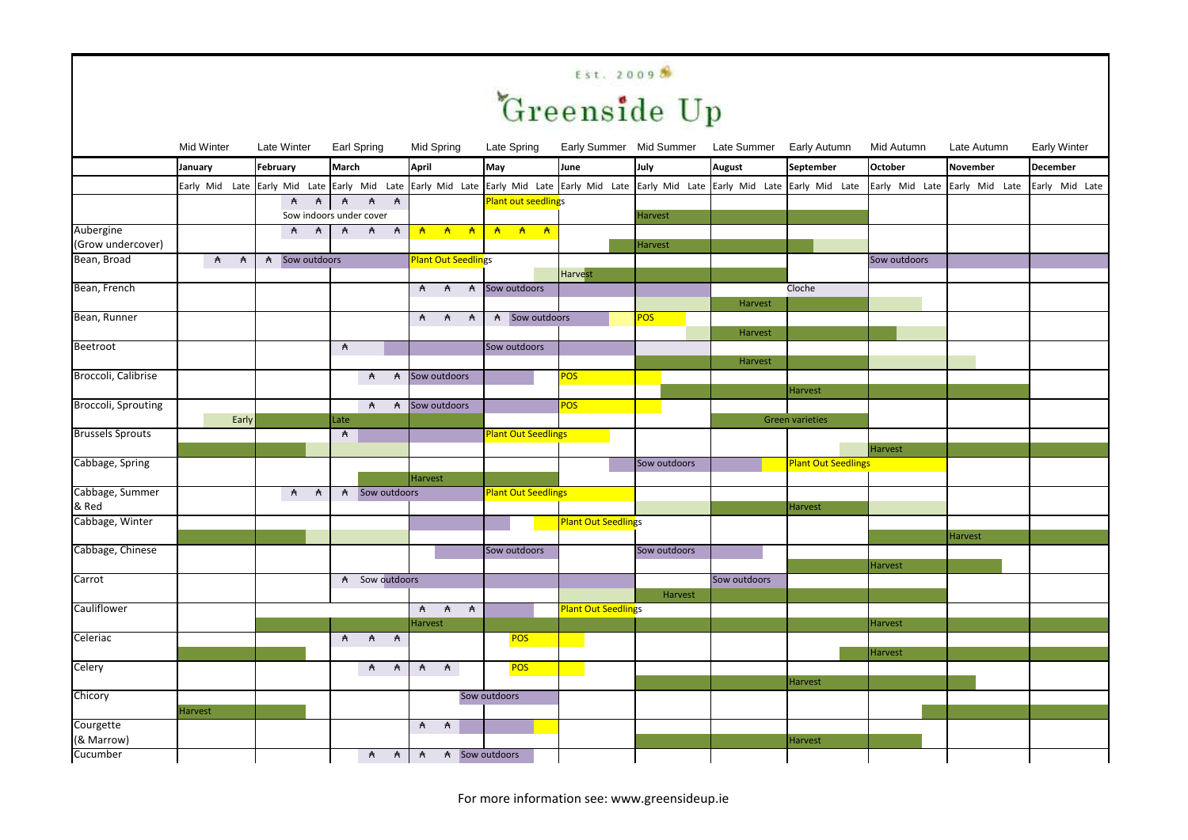## Est. 2009<sup>8</sup>

|                          | <b>Mid Winter</b> | Late Winter |                                  |              | Earl Spring    |            | Mid Spring                 | Late Spring  |                            |                                                                                                                       |              | Early Summer Mid Summer Late Summer Early Autumn |                                                                                                                                                       | Mid Autumn     | Late Autumn                   | <b>Early Winter</b> |  |
|--------------------------|-------------------|-------------|----------------------------------|--------------|----------------|------------|----------------------------|--------------|----------------------------|-----------------------------------------------------------------------------------------------------------------------|--------------|--------------------------------------------------|-------------------------------------------------------------------------------------------------------------------------------------------------------|----------------|-------------------------------|---------------------|--|
|                          | January           | February    |                                  | March        |                |            | April                      | May          |                            | June                                                                                                                  | July         | <b>August</b>                                    | September                                                                                                                                             | <b>October</b> | November                      | <b>December</b>     |  |
|                          |                   |             |                                  |              |                |            |                            |              |                            |                                                                                                                       |              |                                                  | Early Mid Late Early Mid Late Early Mid Late Early Mid Late Early Mid Late Early Mid Late Early Mid Late Early Mid Late Early Mid Late Carly Mid Late |                | Early Mid Late Early Mid Late | Early Mid Late      |  |
|                          |                   |             | A A A A A                        |              |                |            |                            |              | <b>Plant out seedlings</b> |                                                                                                                       |              |                                                  |                                                                                                                                                       |                |                               |                     |  |
| Aubergine                |                   |             | Sow indoors under cover          |              |                |            |                            |              |                            |                                                                                                                       | Harvest      |                                                  |                                                                                                                                                       |                |                               |                     |  |
| (Grow undercover)        |                   |             | <b>A</b> A                       |              | <b>A</b> A A   |            |                            |              |                            |                                                                                                                       | Harvest      |                                                  |                                                                                                                                                       |                |                               |                     |  |
| Bean, Broad              | <b>A</b> A        |             | A Sow outdoors                   |              |                |            | <b>Plant Out Seedlings</b> |              |                            |                                                                                                                       |              |                                                  |                                                                                                                                                       | Sow outdoors   |                               |                     |  |
|                          |                   |             |                                  |              |                |            |                            |              |                            | Harvest                                                                                                               |              |                                                  |                                                                                                                                                       |                |                               |                     |  |
| Bean, French             |                   |             |                                  |              |                |            | A A A Sow outdoors         |              |                            |                                                                                                                       |              |                                                  | Cloche                                                                                                                                                |                |                               |                     |  |
|                          |                   |             |                                  |              |                |            |                            |              |                            |                                                                                                                       |              | Harvest                                          |                                                                                                                                                       |                |                               |                     |  |
| Bean, Runner             |                   |             |                                  |              |                |            | A A A                      |              | A Sow outdoors             |                                                                                                                       | <b>POS</b>   |                                                  |                                                                                                                                                       |                |                               |                     |  |
|                          |                   |             |                                  |              |                |            |                            |              |                            |                                                                                                                       |              | Harvest                                          |                                                                                                                                                       |                |                               |                     |  |
| Beetroot                 |                   |             |                                  | $\mathsf{A}$ |                |            |                            |              | Sow outdoors               |                                                                                                                       |              |                                                  |                                                                                                                                                       |                |                               |                     |  |
| Broccoli, Calibrise      |                   |             |                                  |              |                |            | Sow outdoors               |              |                            | <b>POS</b>                                                                                                            |              | Harvest                                          |                                                                                                                                                       |                |                               |                     |  |
|                          |                   |             |                                  |              |                | <b>A</b> A |                            |              |                            |                                                                                                                       |              |                                                  | Harvest                                                                                                                                               |                |                               |                     |  |
| Broccoli, Sprouting      |                   |             |                                  |              |                |            | A A Sow outdoors           |              |                            | <b>POS</b>                                                                                                            |              |                                                  |                                                                                                                                                       |                |                               |                     |  |
|                          | Early             |             |                                  | Late         |                |            |                            |              |                            |                                                                                                                       |              |                                                  | <b>Green varieties</b>                                                                                                                                |                |                               |                     |  |
| <b>Brussels Sprouts</b>  |                   |             |                                  | A            |                |            |                            |              | <b>Plant Out Seedlings</b> |                                                                                                                       |              |                                                  |                                                                                                                                                       |                |                               |                     |  |
|                          |                   |             |                                  |              |                |            |                            |              |                            |                                                                                                                       |              |                                                  |                                                                                                                                                       | Harvest        |                               |                     |  |
| Cabbage, Spring          |                   |             |                                  |              |                |            |                            |              |                            |                                                                                                                       | Sow outdoors |                                                  | <b>Plant Out Seedlings</b>                                                                                                                            |                |                               |                     |  |
|                          |                   |             |                                  |              |                |            | Harvest                    |              |                            |                                                                                                                       |              |                                                  |                                                                                                                                                       |                |                               |                     |  |
| Cabbage, Summer<br>& Red |                   |             | $\overline{A}$<br>$\overline{A}$ |              | A Sow outdoors |            |                            |              | <b>Plant Out Seedlings</b> |                                                                                                                       |              |                                                  |                                                                                                                                                       |                |                               |                     |  |
| Cabbage, Winter          |                   |             |                                  |              |                |            |                            |              |                            | <b>Plant Out Seedlings</b>                                                                                            |              |                                                  | Harvest                                                                                                                                               |                |                               |                     |  |
|                          |                   |             |                                  |              |                |            |                            |              |                            |                                                                                                                       |              |                                                  |                                                                                                                                                       |                | <b>Harvest</b>                |                     |  |
| Cabbage, Chinese         |                   |             |                                  |              |                |            |                            |              | Sow outdoors               |                                                                                                                       | Sow outdoors |                                                  |                                                                                                                                                       |                |                               |                     |  |
|                          |                   |             |                                  |              |                |            |                            |              |                            |                                                                                                                       |              |                                                  |                                                                                                                                                       | Harvest        |                               |                     |  |
| Carrot                   |                   |             |                                  |              | A Sow outdoors |            |                            |              |                            |                                                                                                                       |              | Sow outdoors                                     |                                                                                                                                                       |                |                               |                     |  |
|                          |                   |             |                                  |              |                |            |                            |              |                            |                                                                                                                       | Harvest      |                                                  |                                                                                                                                                       |                |                               |                     |  |
| Cauliflower              |                   |             |                                  |              |                |            | <b>A A A</b>               |              |                            | <b>Plant Out Seedlings</b>                                                                                            |              |                                                  |                                                                                                                                                       |                |                               |                     |  |
|                          |                   |             |                                  |              |                |            | Harvest                    |              |                            |                                                                                                                       |              |                                                  |                                                                                                                                                       | Harvest        |                               |                     |  |
| Celeriac                 |                   |             |                                  |              | <b>A</b> A     | A          |                            |              | <b>POS</b>                 | <b>Contract Contract Contract Contract Contract Contract Contract Contract Contract Contract Contract Contract Co</b> |              |                                                  |                                                                                                                                                       |                |                               |                     |  |
| Celery                   |                   |             |                                  |              |                | <b>A</b> A | <b>A</b> A                 |              | <b>POS</b>                 |                                                                                                                       |              |                                                  |                                                                                                                                                       | Harvest        |                               |                     |  |
|                          |                   |             |                                  |              |                |            |                            |              |                            |                                                                                                                       |              |                                                  | <b>Harvest</b>                                                                                                                                        |                |                               |                     |  |
| Chicory                  |                   |             |                                  |              |                |            |                            | Sow outdoors |                            |                                                                                                                       |              |                                                  |                                                                                                                                                       |                |                               |                     |  |
|                          | Harvest           |             |                                  |              |                |            |                            |              |                            |                                                                                                                       |              |                                                  |                                                                                                                                                       |                |                               |                     |  |
| Courgette                |                   |             |                                  |              |                |            | A A                        |              |                            |                                                                                                                       |              |                                                  |                                                                                                                                                       |                |                               |                     |  |
| (& Marrow)               |                   |             |                                  |              |                |            |                            |              |                            |                                                                                                                       |              |                                                  | Harvest                                                                                                                                               |                |                               |                     |  |
| Cucumber                 |                   |             |                                  |              |                |            | A A A Sow outdoors         |              |                            |                                                                                                                       |              |                                                  |                                                                                                                                                       |                |                               |                     |  |